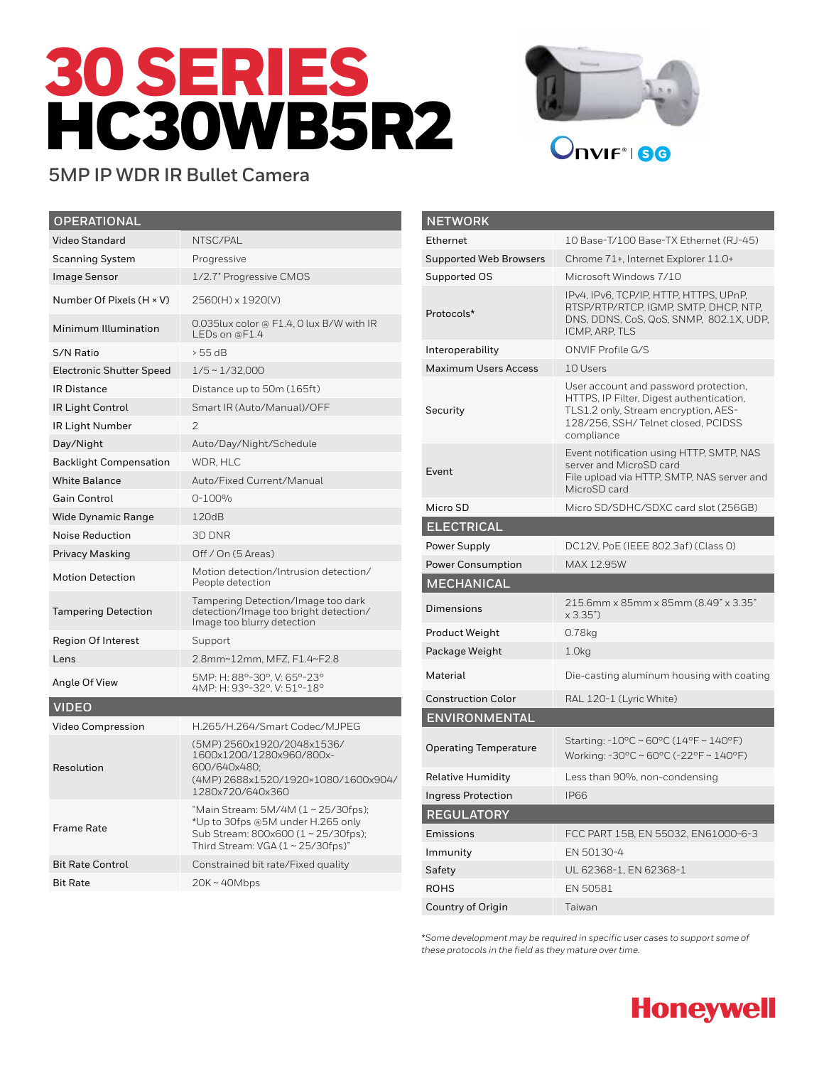# 30 SERIES HC30WB5R2



## **5MP IP WDR IR Bullet Camera**

| <b>OPERATIONAL</b>              |                                                                                                                                                    |
|---------------------------------|----------------------------------------------------------------------------------------------------------------------------------------------------|
| <b>Video Standard</b>           | NTSC/PAL                                                                                                                                           |
| <b>Scanning System</b>          | Progressive                                                                                                                                        |
| <b>Image Sensor</b>             | 1/2.7" Progressive CMOS                                                                                                                            |
| Number Of Pixels (H × V)        | 2560(H) x 1920(V)                                                                                                                                  |
| Minimum Illumination            | 0.035lux color @ F1.4, 0 lux B/W with IR<br>$LEDs$ on @F1.4                                                                                        |
| S/N Ratio                       | > 55 dB                                                                                                                                            |
| <b>Electronic Shutter Speed</b> | $1/5 \sim 1/32,000$                                                                                                                                |
| <b>IR Distance</b>              | Distance up to 50m (165ft)                                                                                                                         |
| IR Light Control                | Smart IR (Auto/Manual)/OFF                                                                                                                         |
| IR Light Number                 | $\mathcal{P}$                                                                                                                                      |
| Day/Night                       | Auto/Day/Night/Schedule                                                                                                                            |
| <b>Backlight Compensation</b>   | WDR. HLC                                                                                                                                           |
| <b>White Balance</b>            | Auto/Fixed Current/Manual                                                                                                                          |
| <b>Gain Control</b>             | 0-100%                                                                                                                                             |
| <b>Wide Dynamic Range</b>       | 120dB                                                                                                                                              |
| <b>Noise Reduction</b>          | 3D DNR                                                                                                                                             |
| Privacy Masking                 | Off / On (5 Areas)                                                                                                                                 |
| <b>Motion Detection</b>         | Motion detection/Intrusion detection/<br>People detection                                                                                          |
| <b>Tampering Detection</b>      | Tampering Detection/Image too dark<br>detection/Image too bright detection/<br>Image too blurry detection                                          |
| <b>Region Of Interest</b>       | Support                                                                                                                                            |
| Lens                            | 2.8mm~12mm, MFZ, F1.4~F2.8                                                                                                                         |
| Angle Of View                   | 5MP: H: 88°-30°, V: 65°-23°<br>4MP: H: 93°-32°, V: 51°-18°                                                                                         |
| <b>VIDEO</b>                    |                                                                                                                                                    |
| <b>Video Compression</b>        | H.265/H.264/Smart Codec/MJPEG                                                                                                                      |
| Resolution                      | (5MP) 2560x1920/2048x1536/<br>1600x1200/1280x960/800x-<br>600/640x480;<br>(4MP) 2688x1520/1920×1080/1600x904/<br>1280x720/640x360                  |
| <b>Frame Rate</b>               | "Main Stream: 5M/4M (1 ~ 25/30fps);<br>*Up to 30fps @5M under H.265 only<br>Sub Stream: 800x600 (1 ~ 25/30fps);<br>Third Stream: VGA (1~25/30fps)" |
| <b>Bit Rate Control</b>         | Constrained bit rate/Fixed quality                                                                                                                 |
| <b>Bit Rate</b>                 | $20K \sim 40Mbps$                                                                                                                                  |

| <b>NETWORK</b>                |                                                                                                                                                                               |
|-------------------------------|-------------------------------------------------------------------------------------------------------------------------------------------------------------------------------|
| Ethernet                      | 10 Base-T/100 Base-TX Ethernet (RJ-45)                                                                                                                                        |
| <b>Supported Web Browsers</b> | Chrome 71+, Internet Explorer 11.0+                                                                                                                                           |
| Supported OS                  | Microsoft Windows 7/10                                                                                                                                                        |
| Protocols*                    | IPv4, IPv6, TCP/IP, HTTP, HTTPS, UPnP,<br>RTSP/RTP/RTCP, IGMP, SMTP, DHCP, NTP,<br>DNS, DDNS, CoS, QoS, SNMP, 802.1X, UDP,<br>ICMP, ARP, TLS                                  |
| Interoperability              | ONVIF Profile G/S                                                                                                                                                             |
| <b>Maximum Users Access</b>   | 10 Users                                                                                                                                                                      |
| Security                      | User account and password protection,<br>HTTPS, IP Filter, Digest authentication,<br>TLS1.2 only, Stream encryption, AES-<br>128/256, SSH/Telnet closed, PCIDSS<br>compliance |
| Event                         | Event notification using HTTP, SMTP, NAS<br>server and MicroSD card<br>File upload via HTTP, SMTP, NAS server and<br>MicroSD card                                             |
| Micro SD                      | Micro SD/SDHC/SDXC card slot (256GB)                                                                                                                                          |
| <b>ELECTRICAL</b>             |                                                                                                                                                                               |
| Power Supply                  | DC12V, PoE (IEEE 802.3af) (Class 0)                                                                                                                                           |
| <b>Power Consumption</b>      | MAX 12.95W                                                                                                                                                                    |
| <b>MECHANICAL</b>             |                                                                                                                                                                               |
| Dimensions                    | 215.6mm x 85mm x 85mm (8.49" x 3.35"<br>x 3.35")                                                                                                                              |
| Product Weight                | 0.78kg                                                                                                                                                                        |
| Package Weight                | 1.0 <sub>kq</sub>                                                                                                                                                             |
| Material                      | Die-casting aluminum housing with coating                                                                                                                                     |
| <b>Construction Color</b>     | RAL 120-1 (Lyric White)                                                                                                                                                       |
| <b>ENVIRONMENTAL</b>          |                                                                                                                                                                               |
| <b>Operating Temperature</b>  | Starting: $-10^{\circ}$ C ~ 60°C (14°F ~ 140°F)<br>Working: -30°C ~ 60°C (-22°F ~ 140°F)                                                                                      |
| <b>Relative Humidity</b>      | Less than 90%, non-condensing                                                                                                                                                 |
| <b>Ingress Protection</b>     | <b>IP66</b>                                                                                                                                                                   |
| <b>REGULATORY</b>             |                                                                                                                                                                               |
| Emissions                     | FCC PART 15B, EN 55032, EN61000-6-3                                                                                                                                           |
| Immunity                      | EN 50130-4                                                                                                                                                                    |
| Safety                        | UL 62368-1, EN 62368-1                                                                                                                                                        |
| <b>ROHS</b>                   | EN 50581                                                                                                                                                                      |
| Country of Origin             | Taiwan                                                                                                                                                                        |

*\*Some development may be required in specific user cases to support some of these protocols in the field as they mature over time.*